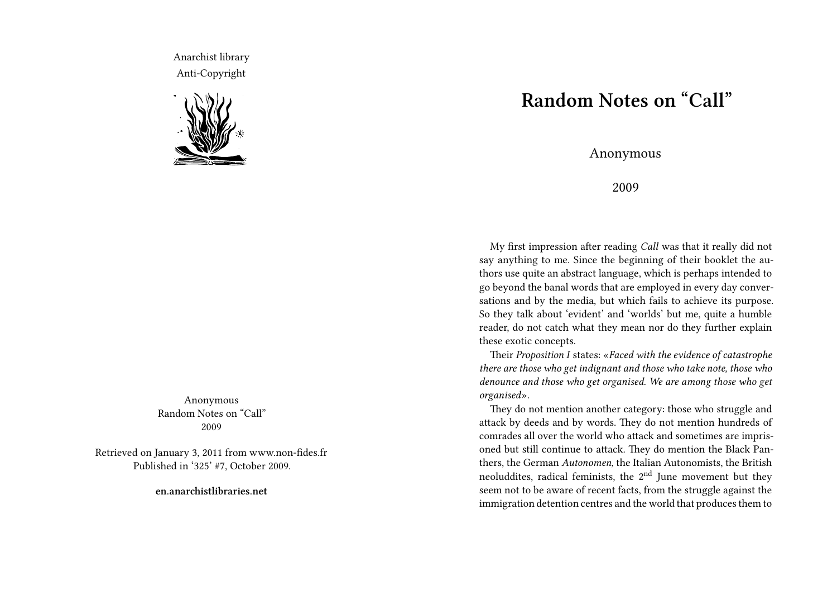Anarchist library Anti-Copyright



Anonymous Random Notes on "Call" 2009

Retrieved on January 3, 2011 from www.non-fides.fr Published in '325' #7, October 2009.

**en.anarchistlibraries.net**

## **Random Notes on "Call"**

Anonymous

2009

My first impression after reading *Call* was that it really did not say anything to me. Since the beginning of their booklet the authors use quite an abstract language, which is perhaps intended to go beyond the banal words that are employed in every day conversations and by the media, but which fails to achieve its purpose. So they talk about 'evident' and 'worlds' but me, quite a humble reader, do not catch what they mean nor do they further explain these exotic concepts.

Their *Proposition I* states: «*Faced with the evidence of catastrophe there are those who get indignant and those who take note, those who denounce and those who get organised. We are among those who get organised*».

They do not mention another category: those who struggle and attack by deeds and by words. They do not mention hundreds of comrades all over the world who attack and sometimes are imprisoned but still continue to attack. They do mention the Black Panthers, the German *Autonomen*, the Italian Autonomists, the British neoluddites, radical feminists, the  $2<sup>nd</sup>$  June movement but they seem not to be aware of recent facts, from the struggle against the immigration detention centres and the world that produces them to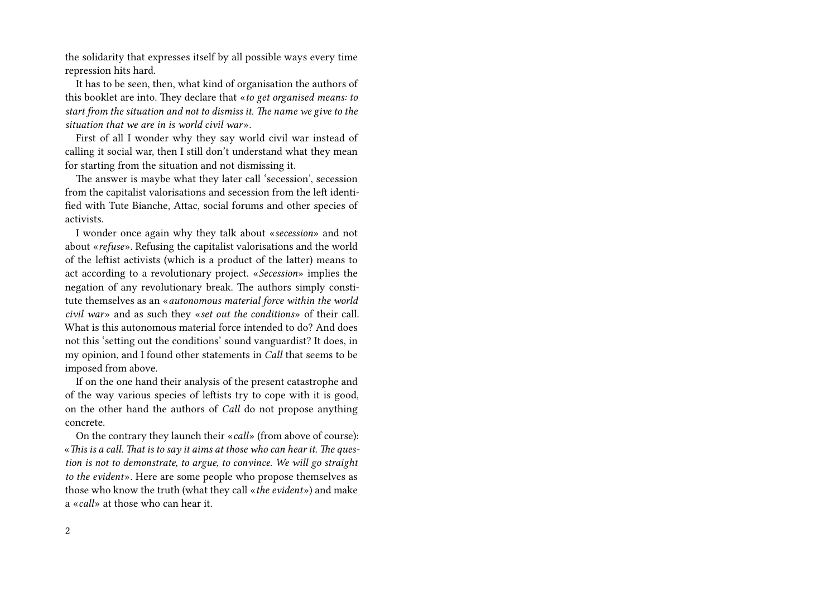the solidarity that expresses itself by all possible ways every time repression hits hard.

It has to be seen, then, what kind of organisation the authors of this booklet are into. They declare that «*to get organised means: to start from the situation and not to dismiss it. The name we give to the situation that we are in is world civil war*».

First of all I wonder why they say world civil war instead of calling it social war, then I still don't understand what they mean for starting from the situation and not dismissing it.

The answer is maybe what they later call 'secession', secession from the capitalist valorisations and secession from the left identified with Tute Bianche, Attac, social forums and other species of activists.

I wonder once again why they talk about «*secession*» and not about «*refuse*». Refusing the capitalist valorisations and the world of the leftist activists (which is a product of the latter) means to act according to a revolutionary project. «*Secession*» implies the negation of any revolutionary break. The authors simply constitute themselves as an «*autonomous material force within the world civil war*» and as such they «*set out the conditions*» of their call. What is this autonomous material force intended to do? And does not this 'setting out the conditions' sound vanguardist? It does, in my opinion, and I found other statements in *Call* that seems to be imposed from above.

If on the one hand their analysis of the present catastrophe and of the way various species of leftists try to cope with it is good, on the other hand the authors of *Call* do not propose anything concrete.

On the contrary they launch their «*call*» (from above of course): «*This is a call. That is to say it aims at those who can hear it. The question is not to demonstrate, to argue, to convince. We will go straight to the evident*». Here are some people who propose themselves as those who know the truth (what they call «*the evident*») and make a «*call*» at those who can hear it.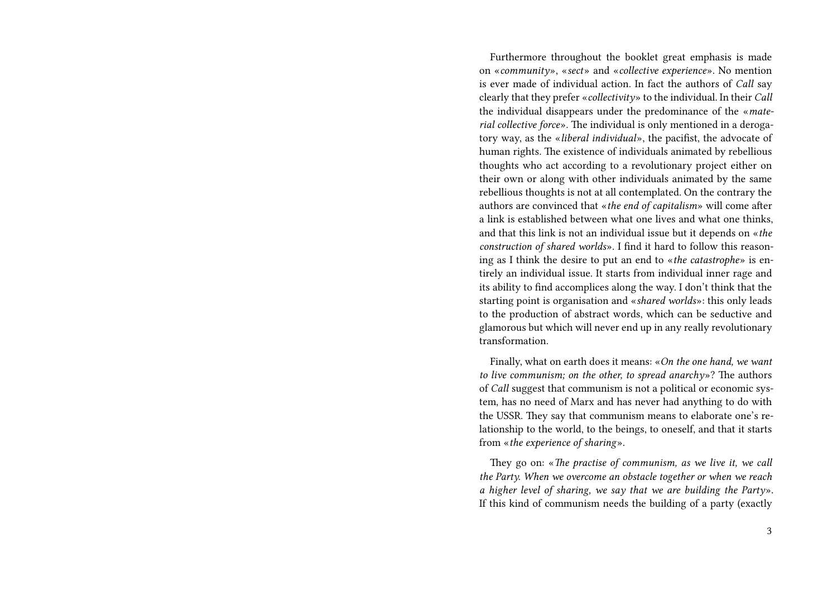Furthermore throughout the booklet great emphasis is made on «*community*», «*sect*» and «*collective experience*». No mention is ever made of individual action. In fact the authors of *Call* say clearly that they prefer «*collectivity*» to the individual. In their *Call* the individual disappears under the predominance of the «*material collective force*». The individual is only mentioned in a derogatory way, as the «*liberal individual*», the pacifist, the advocate of human rights. The existence of individuals animated by rebellious thoughts who act according to a revolutionary project either on their own or along with other individuals animated by the same rebellious thoughts is not at all contemplated. On the contrary the authors are convinced that «*the end of capitalism*» will come after a link is established between what one lives and what one thinks, and that this link is not an individual issue but it depends on «*the construction of shared worlds*». I find it hard to follow this reasoning as I think the desire to put an end to «*the catastrophe*» is entirely an individual issue. It starts from individual inner rage and its ability to find accomplices along the way. I don't think that the starting point is organisation and «*shared worlds*»: this only leads to the production of abstract words, which can be seductive and glamorous but which will never end up in any really revolutionary transformation.

Finally, what on earth does it means: «*On the one hand, we want to live communism; on the other, to spread anarchy*»? The authors of *Call* suggest that communism is not a political or economic system, has no need of Marx and has never had anything to do with the USSR. They say that communism means to elaborate one's relationship to the world, to the beings, to oneself, and that it starts from «*the experience of sharing*».

They go on: «*The practise of communism, as we live it, we call the Party. When we overcome an obstacle together or when we reach a higher level of sharing, we say that we are building the Party*». If this kind of communism needs the building of a party (exactly